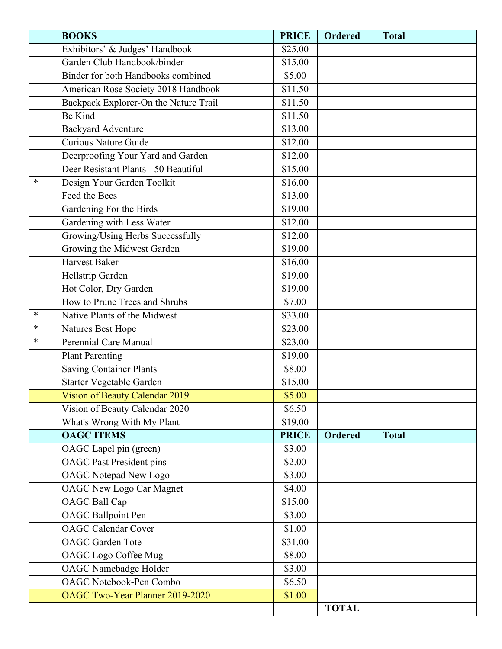|        | <b>BOOKS</b>                          | <b>PRICE</b> | <b>Ordered</b> | <b>Total</b> |  |
|--------|---------------------------------------|--------------|----------------|--------------|--|
|        | Exhibitors' & Judges' Handbook        | \$25.00      |                |              |  |
|        | Garden Club Handbook/binder           | \$15.00      |                |              |  |
|        | Binder for both Handbooks combined    | \$5.00       |                |              |  |
|        | American Rose Society 2018 Handbook   | \$11.50      |                |              |  |
|        | Backpack Explorer-On the Nature Trail | \$11.50      |                |              |  |
|        | <b>Be Kind</b>                        | \$11.50      |                |              |  |
|        | <b>Backyard Adventure</b>             | \$13.00      |                |              |  |
|        | <b>Curious Nature Guide</b>           | \$12.00      |                |              |  |
|        | Deerproofing Your Yard and Garden     | \$12.00      |                |              |  |
|        | Deer Resistant Plants - 50 Beautiful  | \$15.00      |                |              |  |
| $\ast$ | Design Your Garden Toolkit            | \$16.00      |                |              |  |
|        | Feed the Bees                         | \$13.00      |                |              |  |
|        | Gardening For the Birds               | \$19.00      |                |              |  |
|        | Gardening with Less Water             | \$12.00      |                |              |  |
|        | Growing/Using Herbs Successfully      | \$12.00      |                |              |  |
|        | Growing the Midwest Garden            | \$19.00      |                |              |  |
|        | <b>Harvest Baker</b>                  | \$16.00      |                |              |  |
|        | Hellstrip Garden                      | \$19.00      |                |              |  |
|        | Hot Color, Dry Garden                 | \$19.00      |                |              |  |
|        | How to Prune Trees and Shrubs         | \$7.00       |                |              |  |
| $\ast$ | Native Plants of the Midwest          | \$33.00      |                |              |  |
| *      | Natures Best Hope                     | \$23.00      |                |              |  |
| $\ast$ | Perennial Care Manual                 | \$23.00      |                |              |  |
|        | <b>Plant Parenting</b>                | \$19.00      |                |              |  |
|        | <b>Saving Container Plants</b>        | \$8.00       |                |              |  |
|        | Starter Vegetable Garden              | \$15.00      |                |              |  |
|        | Vision of Beauty Calendar 2019        | \$5.00       |                |              |  |
|        | Vision of Beauty Calendar 2020        | \$6.50       |                |              |  |
|        | What's Wrong With My Plant            | \$19.00      |                |              |  |
|        | <b>OAGC ITEMS</b>                     | <b>PRICE</b> | <b>Ordered</b> | <b>Total</b> |  |
|        | OAGC Lapel pin (green)                | \$3.00       |                |              |  |
|        | <b>OAGC</b> Past President pins       | \$2.00       |                |              |  |
|        | <b>OAGC</b> Notepad New Logo          | \$3.00       |                |              |  |
|        | <b>OAGC New Logo Car Magnet</b>       | \$4.00       |                |              |  |
|        | <b>OAGC Ball Cap</b>                  | \$15.00      |                |              |  |
|        | <b>OAGC</b> Ballpoint Pen             | \$3.00       |                |              |  |
|        | <b>OAGC</b> Calendar Cover            | \$1.00       |                |              |  |
|        | <b>OAGC</b> Garden Tote               | \$31.00      |                |              |  |
|        | <b>OAGC</b> Logo Coffee Mug           | \$8.00       |                |              |  |
|        | <b>OAGC</b> Namebadge Holder          | \$3.00       |                |              |  |
|        | <b>OAGC Notebook-Pen Combo</b>        | \$6.50       |                |              |  |
|        | OAGC Two-Year Planner 2019-2020       | \$1.00       |                |              |  |
|        |                                       |              | <b>TOTAL</b>   |              |  |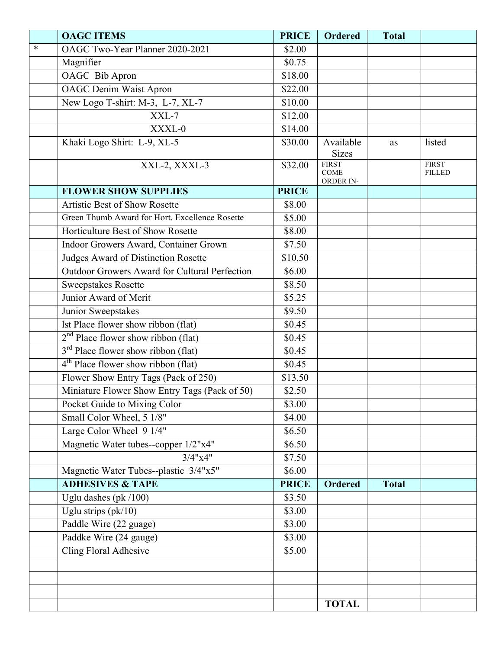|        | <b>OAGC ITEMS</b>                                    | <b>PRICE</b> | <b>Ordered</b>                           | <b>Total</b> |                               |
|--------|------------------------------------------------------|--------------|------------------------------------------|--------------|-------------------------------|
| $\ast$ | OAGC Two-Year Planner 2020-2021                      | \$2.00       |                                          |              |                               |
|        | Magnifier                                            | \$0.75       |                                          |              |                               |
|        | OAGC Bib Apron                                       | \$18.00      |                                          |              |                               |
|        | <b>OAGC</b> Denim Waist Apron                        | \$22.00      |                                          |              |                               |
|        | New Logo T-shirt: M-3, L-7, XL-7                     | \$10.00      |                                          |              |                               |
|        | XXL-7                                                | \$12.00      |                                          |              |                               |
|        | XXXL-0                                               | \$14.00      |                                          |              |                               |
|        | Khaki Logo Shirt: L-9, XL-5                          | \$30.00      | Available<br><b>Sizes</b>                | as           | listed                        |
|        | XXL-2, XXXL-3                                        | \$32.00      | <b>FIRST</b><br><b>COME</b><br>ORDER IN- |              | <b>FIRST</b><br><b>FILLED</b> |
|        | <b>FLOWER SHOW SUPPLIES</b>                          | <b>PRICE</b> |                                          |              |                               |
|        | <b>Artistic Best of Show Rosette</b>                 | \$8.00       |                                          |              |                               |
|        | Green Thumb Award for Hort. Excellence Rosette       | \$5.00       |                                          |              |                               |
|        | Horticulture Best of Show Rosette                    | \$8.00       |                                          |              |                               |
|        | Indoor Growers Award, Container Grown                | \$7.50       |                                          |              |                               |
|        | Judges Award of Distinction Rosette                  | \$10.50      |                                          |              |                               |
|        | <b>Outdoor Growers Award for Cultural Perfection</b> | \$6.00       |                                          |              |                               |
|        | <b>Sweepstakes Rosette</b>                           | \$8.50       |                                          |              |                               |
|        | Junior Award of Merit                                | \$5.25       |                                          |              |                               |
|        | Junior Sweepstakes                                   | \$9.50       |                                          |              |                               |
|        | lst Place flower show ribbon (flat)                  | \$0.45       |                                          |              |                               |
|        | $2nd$ Place flower show ribbon (flat)                | \$0.45       |                                          |              |                               |
|        | $3rd$ Place flower show ribbon (flat)                | \$0.45       |                                          |              |                               |
|        | $4th$ Place flower show ribbon (flat)                | \$0.45       |                                          |              |                               |
|        | Flower Show Entry Tags (Pack of 250)                 | \$13.50      |                                          |              |                               |
|        | Miniature Flower Show Entry Tags (Pack of 50)        | \$2.50       |                                          |              |                               |
|        | Pocket Guide to Mixing Color                         | \$3.00       |                                          |              |                               |
|        | Small Color Wheel, 5 1/8"                            | \$4.00       |                                          |              |                               |
|        | Large Color Wheel 9 1/4"                             | \$6.50       |                                          |              |                               |
|        | Magnetic Water tubes--copper 1/2"x4"                 | \$6.50       |                                          |              |                               |
|        | $3/4$ " $x4$ "                                       | \$7.50       |                                          |              |                               |
|        | Magnetic Water Tubes--plastic 3/4"x5"                | \$6.00       |                                          |              |                               |
|        | <b>ADHESIVES &amp; TAPE</b>                          | <b>PRICE</b> | <b>Ordered</b>                           | <b>Total</b> |                               |
|        | Uglu dashes (pk $/100$ )                             | \$3.50       |                                          |              |                               |
|        | Uglu strips $(pk/10)$                                | \$3.00       |                                          |              |                               |
|        | Paddle Wire (22 guage)                               | \$3.00       |                                          |              |                               |
|        | Paddke Wire (24 gauge)                               | \$3.00       |                                          |              |                               |
|        | Cling Floral Adhesive                                | \$5.00       |                                          |              |                               |
|        |                                                      |              |                                          |              |                               |
|        |                                                      |              |                                          |              |                               |
|        |                                                      |              |                                          |              |                               |
|        |                                                      |              | <b>TOTAL</b>                             |              |                               |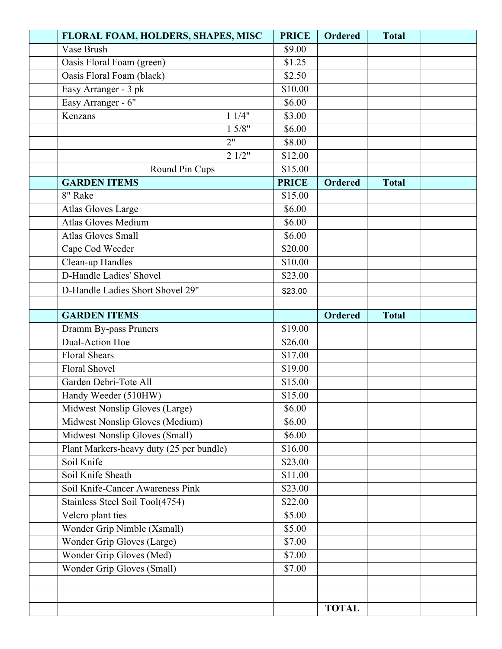| FLORAL FOAM, HOLDERS, SHAPES, MISC       | <b>PRICE</b> | <b>Ordered</b> | <b>Total</b> |  |
|------------------------------------------|--------------|----------------|--------------|--|
| Vase Brush                               | \$9.00       |                |              |  |
| Oasis Floral Foam (green)                | \$1.25       |                |              |  |
| Oasis Floral Foam (black)                | \$2.50       |                |              |  |
| Easy Arranger - 3 pk                     | \$10.00      |                |              |  |
| Easy Arranger - 6"                       | \$6.00       |                |              |  |
| 11/4"<br>Kenzans                         | \$3.00       |                |              |  |
| 15/8"                                    | \$6.00       |                |              |  |
| 2"                                       | \$8.00       |                |              |  |
| 21/2"                                    | \$12.00      |                |              |  |
| Round Pin Cups                           | \$15.00      |                |              |  |
| <b>GARDEN ITEMS</b>                      | <b>PRICE</b> | <b>Ordered</b> | <b>Total</b> |  |
| 8" Rake                                  | \$15.00      |                |              |  |
| Atlas Gloves Large                       | \$6.00       |                |              |  |
| <b>Atlas Gloves Medium</b>               | \$6.00       |                |              |  |
| <b>Atlas Gloves Small</b>                | \$6.00       |                |              |  |
| Cape Cod Weeder                          | \$20.00      |                |              |  |
| Clean-up Handles                         | \$10.00      |                |              |  |
| D-Handle Ladies' Shovel                  | \$23.00      |                |              |  |
| D-Handle Ladies Short Shovel 29"         | \$23.00      |                |              |  |
|                                          |              |                |              |  |
| <b>GARDEN ITEMS</b>                      |              | <b>Ordered</b> | <b>Total</b> |  |
| Dramm By-pass Pruners                    | \$19.00      |                |              |  |
| Dual-Action Hoe                          | \$26.00      |                |              |  |
| <b>Floral Shears</b>                     | \$17.00      |                |              |  |
| Floral Shovel                            | \$19.00      |                |              |  |
| Garden Debri-Tote All                    | \$15.00      |                |              |  |
| Handy Weeder (510HW)                     | \$15.00      |                |              |  |
| Midwest Nonslip Gloves (Large)           | \$6.00       |                |              |  |
| Midwest Nonslip Gloves (Medium)          | \$6.00       |                |              |  |
| Midwest Nonslip Gloves (Small)           | \$6.00       |                |              |  |
| Plant Markers-heavy duty (25 per bundle) | \$16.00      |                |              |  |
| Soil Knife                               | \$23.00      |                |              |  |
| Soil Knife Sheath                        | \$11.00      |                |              |  |
| Soil Knife-Cancer Awareness Pink         | \$23.00      |                |              |  |
| Stainless Steel Soil Tool(4754)          | \$22.00      |                |              |  |
| Velcro plant ties                        | \$5.00       |                |              |  |
| Wonder Grip Nimble (Xsmall)              | \$5.00       |                |              |  |
| Wonder Grip Gloves (Large)               | \$7.00       |                |              |  |
| Wonder Grip Gloves (Med)                 | \$7.00       |                |              |  |
| Wonder Grip Gloves (Small)               | \$7.00       |                |              |  |
|                                          |              |                |              |  |
|                                          |              |                |              |  |
|                                          |              | <b>TOTAL</b>   |              |  |